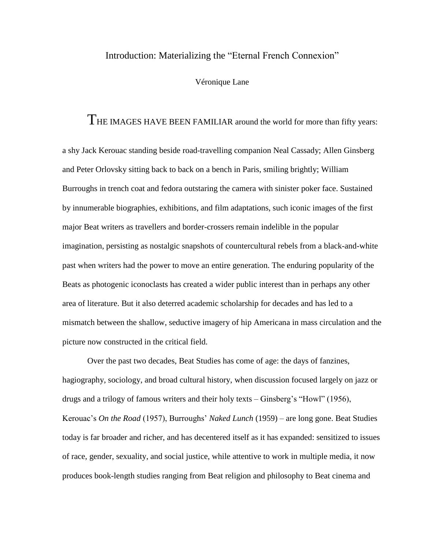# Introduction: Materializing the "Eternal French Connexion"

# Véronique Lane

# THE IMAGES HAVE BEEN FAMILIAR around the world for more than fifty years:

a shy Jack Kerouac standing beside road-travelling companion Neal Cassady; Allen Ginsberg and Peter Orlovsky sitting back to back on a bench in Paris, smiling brightly; William Burroughs in trench coat and fedora outstaring the camera with sinister poker face. Sustained by innumerable biographies, exhibitions, and film adaptations, such iconic images of the first major Beat writers as travellers and border-crossers remain indelible in the popular imagination, persisting as nostalgic snapshots of countercultural rebels from a black-and-white past when writers had the power to move an entire generation. The enduring popularity of the Beats as photogenic iconoclasts has created a wider public interest than in perhaps any other area of literature. But it also deterred academic scholarship for decades and has led to a mismatch between the shallow, seductive imagery of hip Americana in mass circulation and the picture now constructed in the critical field.

Over the past two decades, Beat Studies has come of age: the days of fanzines, hagiography, sociology, and broad cultural history, when discussion focused largely on jazz or drugs and a trilogy of famous writers and their holy texts – Ginsberg's "Howl" (1956), Kerouac's *On the Road* (1957), Burroughs' *Naked Lunch* (1959) – are long gone. Beat Studies today is far broader and richer, and has decentered itself as it has expanded: sensitized to issues of race, gender, sexuality, and social justice, while attentive to work in multiple media, it now produces book-length studies ranging from Beat religion and philosophy to Beat cinema and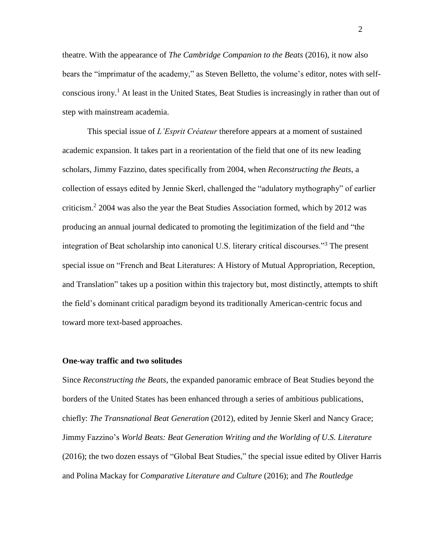theatre. With the appearance of *The Cambridge Companion to the Beats* (2016), it now also bears the "imprimatur of the academy," as Steven Belletto, the volume's editor, notes with selfconscious irony. <sup>1</sup> At least in the United States, Beat Studies is increasingly in rather than out of step with mainstream academia.

This special issue of *L'Esprit Créateur* therefore appears at a moment of sustained academic expansion. It takes part in a reorientation of the field that one of its new leading scholars, Jimmy Fazzino, dates specifically from 2004, when *Reconstructing the Beats*, a collection of essays edited by Jennie Skerl, challenged the "adulatory mythography" of earlier criticism.<sup>2</sup> 2004 was also the year the Beat Studies Association formed, which by 2012 was producing an annual journal dedicated to promoting the legitimization of the field and "the integration of Beat scholarship into canonical U.S. literary critical discourses."<sup>3</sup> The present special issue on "French and Beat Literatures: A History of Mutual Appropriation, Reception, and Translation" takes up a position within this trajectory but, most distinctly, attempts to shift the field's dominant critical paradigm beyond its traditionally American-centric focus and toward more text-based approaches.

## **One-way traffic and two solitudes**

Since *Reconstructing the Beats*, the expanded panoramic embrace of Beat Studies beyond the borders of the United States has been enhanced through a series of ambitious publications, chiefly: *The Transnational Beat Generation* (2012), edited by Jennie Skerl and Nancy Grace; Jimmy Fazzino's *World Beats: Beat Generation Writing and the Worlding of U.S. Literature* (2016); the two dozen essays of "Global Beat Studies," the special issue edited by Oliver Harris and Polina Mackay for *Comparative Literature and Culture* (2016); and *The Routledge*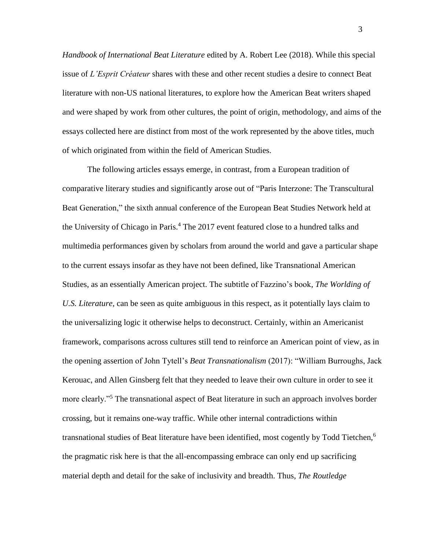*Handbook of International Beat Literature* edited by A. Robert Lee (2018). While this special issue of *L'Esprit Créateur* shares with these and other recent studies a desire to connect Beat literature with non-US national literatures, to explore how the American Beat writers shaped and were shaped by work from other cultures, the point of origin, methodology, and aims of the essays collected here are distinct from most of the work represented by the above titles, much of which originated from within the field of American Studies.

The following articles essays emerge, in contrast, from a European tradition of comparative literary studies and significantly arose out of "Paris Interzone: The Transcultural Beat Generation," the sixth annual conference of the European Beat Studies Network held at the University of Chicago in Paris.<sup>4</sup> The 2017 event featured close to a hundred talks and multimedia performances given by scholars from around the world and gave a particular shape to the current essays insofar as they have not been defined, like Transnational American Studies, as an essentially American project. The subtitle of Fazzino's book, *The Worlding of U.S. Literature*, can be seen as quite ambiguous in this respect, as it potentially lays claim to the universalizing logic it otherwise helps to deconstruct. Certainly, within an Americanist framework, comparisons across cultures still tend to reinforce an American point of view, as in the opening assertion of John Tytell's *Beat Transnationalism* (2017): "William Burroughs, Jack Kerouac, and Allen Ginsberg felt that they needed to leave their own culture in order to see it more clearly."<sup>5</sup> The transnational aspect of Beat literature in such an approach involves border crossing, but it remains one-way traffic. While other internal contradictions within transnational studies of Beat literature have been identified, most cogently by Todd Tietchen,<sup>6</sup> the pragmatic risk here is that the all-encompassing embrace can only end up sacrificing material depth and detail for the sake of inclusivity and breadth. Thus, *The Routledge*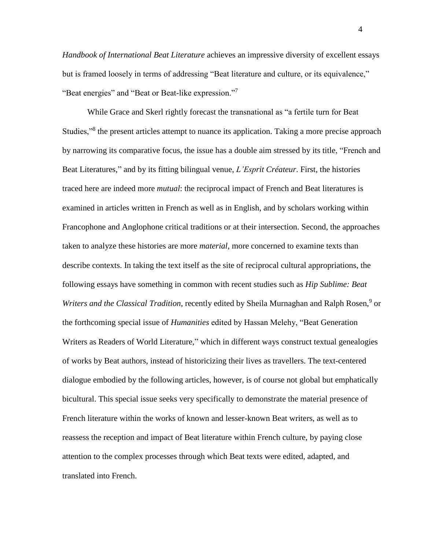*Handbook of International Beat Literature* achieves an impressive diversity of excellent essays but is framed loosely in terms of addressing "Beat literature and culture, or its equivalence," "Beat energies" and "Beat or Beat-like expression."<sup>7</sup>

While Grace and Skerl rightly forecast the transnational as "a fertile turn for Beat Studies,"<sup>8</sup> the present articles attempt to nuance its application. Taking a more precise approach by narrowing its comparative focus, the issue has a double aim stressed by its title, "French and Beat Literatures," and by its fitting bilingual venue, *L'Esprit Créateur*. First, the histories traced here are indeed more *mutual*: the reciprocal impact of French and Beat literatures is examined in articles written in French as well as in English, and by scholars working within Francophone and Anglophone critical traditions or at their intersection. Second, the approaches taken to analyze these histories are more *material*, more concerned to examine texts than describe contexts. In taking the text itself as the site of reciprocal cultural appropriations, the following essays have something in common with recent studies such as *Hip Sublime: Beat* Writers and the Classical Tradition, recently edited by Sheila Murnaghan and Ralph Rosen,<sup>9</sup> or the forthcoming special issue of *Humanities* edited by Hassan Melehy, "Beat Generation Writers as Readers of World Literature," which in different ways construct textual genealogies of works by Beat authors, instead of historicizing their lives as travellers. The text-centered dialogue embodied by the following articles, however, is of course not global but emphatically bicultural. This special issue seeks very specifically to demonstrate the material presence of French literature within the works of known and lesser-known Beat writers, as well as to reassess the reception and impact of Beat literature within French culture, by paying close attention to the complex processes through which Beat texts were edited, adapted, and translated into French.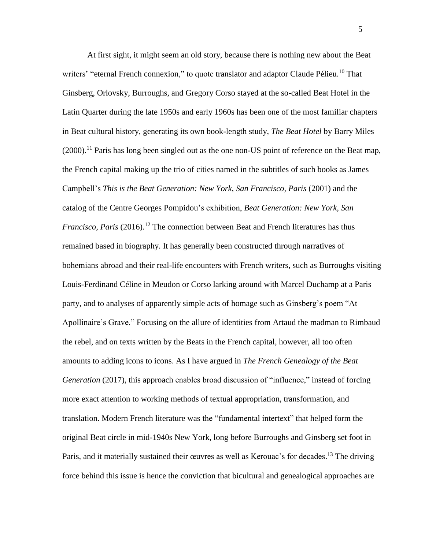At first sight, it might seem an old story, because there is nothing new about the Beat writers' "eternal French connexion," to quote translator and adaptor Claude Pélieu.<sup>10</sup> That Ginsberg, Orlovsky, Burroughs, and Gregory Corso stayed at the so-called Beat Hotel in the Latin Quarter during the late 1950s and early 1960s has been one of the most familiar chapters in Beat cultural history, generating its own book-length study, *The Beat Hotel* by Barry Miles  $(2000).$ <sup>11</sup> Paris has long been singled out as the one non-US point of reference on the Beat map, the French capital making up the trio of cities named in the subtitles of such books as James Campbell's *This is the Beat Generation: New York, San Francisco, Paris* (2001) and the catalog of the Centre Georges Pompidou's exhibition, *Beat Generation: New York, San Francisco, Paris* (2016).<sup>12</sup> The connection between Beat and French literatures has thus remained based in biography. It has generally been constructed through narratives of bohemians abroad and their real-life encounters with French writers, such as Burroughs visiting Louis-Ferdinand Céline in Meudon or Corso larking around with Marcel Duchamp at a Paris party, and to analyses of apparently simple acts of homage such as Ginsberg's poem "At Apollinaire's Grave." Focusing on the allure of identities from Artaud the madman to Rimbaud the rebel, and on texts written by the Beats in the French capital, however, all too often amounts to adding icons to icons. As I have argued in *The French Genealogy of the Beat Generation* (2017), this approach enables broad discussion of "influence," instead of forcing more exact attention to working methods of textual appropriation, transformation, and translation. Modern French literature was the "fundamental intertext" that helped form the original Beat circle in mid-1940s New York, long before Burroughs and Ginsberg set foot in Paris, and it materially sustained their œuvres as well as Kerouac's for decades.<sup>13</sup> The driving force behind this issue is hence the conviction that bicultural and genealogical approaches are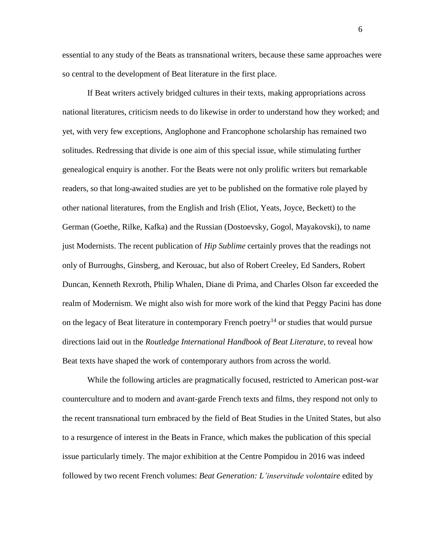essential to any study of the Beats as transnational writers, because these same approaches were so central to the development of Beat literature in the first place.

If Beat writers actively bridged cultures in their texts, making appropriations across national literatures, criticism needs to do likewise in order to understand how they worked; and yet, with very few exceptions, Anglophone and Francophone scholarship has remained two solitudes. Redressing that divide is one aim of this special issue, while stimulating further genealogical enquiry is another. For the Beats were not only prolific writers but remarkable readers, so that long-awaited studies are yet to be published on the formative role played by other national literatures, from the English and Irish (Eliot, Yeats, Joyce, Beckett) to the German (Goethe, Rilke, Kafka) and the Russian (Dostoevsky, Gogol, Mayakovski), to name just Modernists. The recent publication of *Hip Sublime* certainly proves that the readings not only of Burroughs, Ginsberg, and Kerouac, but also of Robert Creeley, Ed Sanders, Robert Duncan, Kenneth Rexroth, Philip Whalen, Diane di Prima, and Charles Olson far exceeded the realm of Modernism. We might also wish for more work of the kind that Peggy Pacini has done on the legacy of Beat literature in contemporary French poetry<sup>14</sup> or studies that would pursue directions laid out in the *Routledge International Handbook of Beat Literature*, to reveal how Beat texts have shaped the work of contemporary authors from across the world.

While the following articles are pragmatically focused, restricted to American post-war counterculture and to modern and avant-garde French texts and films, they respond not only to the recent transnational turn embraced by the field of Beat Studies in the United States, but also to a resurgence of interest in the Beats in France, which makes the publication of this special issue particularly timely. The major exhibition at the Centre Pompidou in 2016 was indeed followed by two recent French volumes: *Beat Generation: L'inservitude volontaire* edited by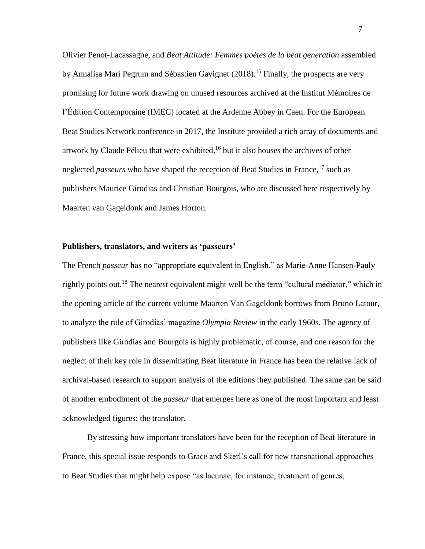Olivier Penot-Lacassagne, and *Beat Attitude: Femmes poètes de la beat generation* assembled by Annalisa Marí Pegrum and Sébastien Gavignet (2018). <sup>15</sup> Finally, the prospects are very promising for future work drawing on unused resources archived at the Institut Mémoires de l'Édition Contemporaine (IMEC) located at the Ardenne Abbey in Caen. For the European Beat Studies Network conference in 2017, the Institute provided a rich array of documents and artwork by Claude Pélieu that were exhibited, <sup>16</sup> but it also houses the archives of other neglected *passeurs* who have shaped the reception of Beat Studies in France, <sup>17</sup> such as publishers Maurice Girodias and Christian Bourgois, who are discussed here respectively by Maarten van Gageldonk and James Horton.

### **Publishers, translators, and writers as 'passeurs'**

The French *passeur* has no "appropriate equivalent in English," as Marie-Anne Hansen-Pauly rightly points out.<sup>18</sup> The nearest equivalent might well be the term "cultural mediator," which in the opening article of the current volume Maarten Van Gageldonk borrows from Bruno Latour, to analyze the role of Girodias' magazine *Olympia Review* in the early 1960s. The agency of publishers like Girodias and Bourgois is highly problematic, of course, and one reason for the neglect of their key role in disseminating Beat literature in France has been the relative lack of archival-based research to support analysis of the editions they published. The same can be said of another embodiment of the *passeur* that emerges here as one of the most important and least acknowledged figures: the translator.

By stressing how important translators have been for the reception of Beat literature in France, this special issue responds to Grace and Skerl's call for new transnational approaches to Beat Studies that might help expose "as lacunae, for instance, treatment of genres,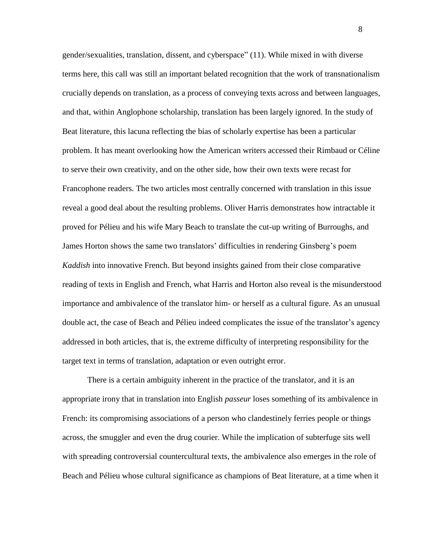gender/sexualities, translation, dissent, and cyberspace" (11). While mixed in with diverse terms here, this call was still an important belated recognition that the work of transnationalism crucially depends on translation, as a process of conveying texts across and between languages, and that, within Anglophone scholarship, translation has been largely ignored. In the study of Beat literature, this lacuna reflecting the bias of scholarly expertise has been a particular problem. It has meant overlooking how the American writers accessed their Rimbaud or Céline to serve their own creativity, and on the other side, how their own texts were recast for Francophone readers. The two articles most centrally concerned with translation in this issue reveal a good deal about the resulting problems. Oliver Harris demonstrates how intractable it proved for Pélieu and his wife Mary Beach to translate the cut-up writing of Burroughs, and James Horton shows the same two translators' difficulties in rendering Ginsberg's poem *Kaddish* into innovative French. But beyond insights gained from their close comparative reading of texts in English and French, what Harris and Horton also reveal is the misunderstood importance and ambivalence of the translator him- or herself as a cultural figure. As an unusual double act, the case of Beach and Pélieu indeed complicates the issue of the translator's agency addressed in both articles, that is, the extreme difficulty of interpreting responsibility for the target text in terms of translation, adaptation or even outright error.

There is a certain ambiguity inherent in the practice of the translator, and it is an appropriate irony that in translation into English *passeur* loses something of its ambivalence in French: its compromising associations of a person who clandestinely ferries people or things across, the smuggler and even the drug courier. While the implication of subterfuge sits well with spreading controversial countercultural texts, the ambivalence also emerges in the role of Beach and Pélieu whose cultural significance as champions of Beat literature, at a time when it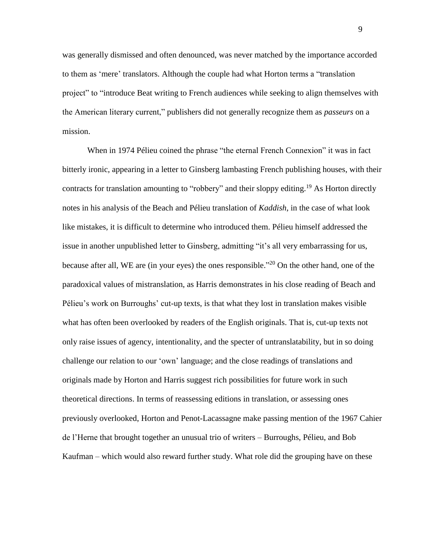was generally dismissed and often denounced, was never matched by the importance accorded to them as 'mere' translators. Although the couple had what Horton terms a "translation project" to "introduce Beat writing to French audiences while seeking to align themselves with the American literary current," publishers did not generally recognize them as *passeurs* on a mission.

When in 1974 Pélieu coined the phrase "the eternal French Connexion" it was in fact bitterly ironic, appearing in a letter to Ginsberg lambasting French publishing houses, with their contracts for translation amounting to "robbery" and their sloppy editing.<sup>19</sup> As Horton directly notes in his analysis of the Beach and Pélieu translation of *Kaddish*, in the case of what look like mistakes, it is difficult to determine who introduced them. Pélieu himself addressed the issue in another unpublished letter to Ginsberg, admitting "it's all very embarrassing for us, because after all, WE are (in your eyes) the ones responsible."<sup>20</sup> On the other hand, one of the paradoxical values of mistranslation, as Harris demonstrates in his close reading of Beach and Pélieu's work on Burroughs' cut-up texts, is that what they lost in translation makes visible what has often been overlooked by readers of the English originals. That is, cut-up texts not only raise issues of agency, intentionality, and the specter of untranslatability, but in so doing challenge our relation to our 'own' language; and the close readings of translations and originals made by Horton and Harris suggest rich possibilities for future work in such theoretical directions. In terms of reassessing editions in translation, or assessing ones previously overlooked, Horton and Penot-Lacassagne make passing mention of the 1967 Cahier de l'Herne that brought together an unusual trio of writers – Burroughs, Pélieu, and Bob Kaufman – which would also reward further study. What role did the grouping have on these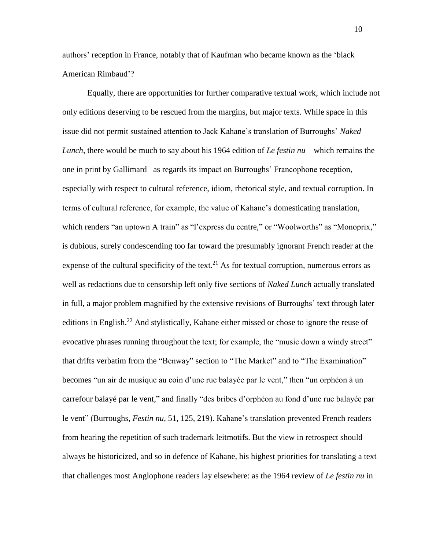authors' reception in France, notably that of Kaufman who became known as the 'black American Rimbaud'?

Equally, there are opportunities for further comparative textual work, which include not only editions deserving to be rescued from the margins, but major texts. While space in this issue did not permit sustained attention to Jack Kahane's translation of Burroughs' *Naked Lunch*, there would be much to say about his 1964 edition of *Le festin nu –* which remains the one in print by Gallimard –as regards its impact on Burroughs' Francophone reception, especially with respect to cultural reference, idiom, rhetorical style, and textual corruption. In terms of cultural reference, for example, the value of Kahane's domesticating translation, which renders "an uptown A train" as "l'express du centre," or "Woolworths" as "Monoprix," is dubious, surely condescending too far toward the presumably ignorant French reader at the expense of the cultural specificity of the text.<sup>21</sup> As for textual corruption, numerous errors as well as redactions due to censorship left only five sections of *Naked Lunch* actually translated in full, a major problem magnified by the extensive revisions of Burroughs' text through later editions in English.<sup>22</sup> And stylistically, Kahane either missed or chose to ignore the reuse of evocative phrases running throughout the text; for example, the "music down a windy street" that drifts verbatim from the "Benway" section to "The Market" and to "The Examination" becomes "un air de musique au coin d'une rue balayée par le vent," then "un orphéon à un carrefour balayé par le vent," and finally "des bribes d'orphéon au fond d'une rue balayée par le vent" (Burroughs, *Festin nu*, 51, 125, 219). Kahane's translation prevented French readers from hearing the repetition of such trademark leitmotifs. But the view in retrospect should always be historicized, and so in defence of Kahane, his highest priorities for translating a text that challenges most Anglophone readers lay elsewhere: as the 1964 review of *Le festin nu* in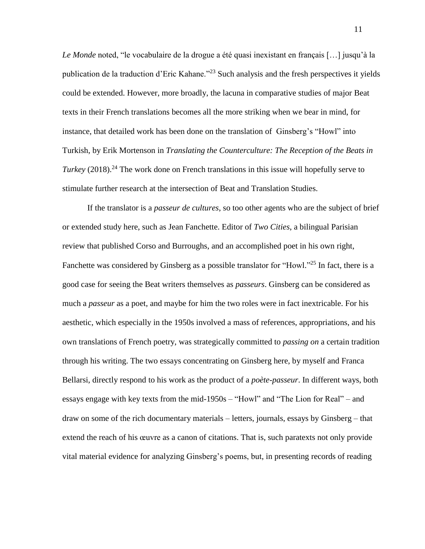*Le Monde* noted, "le vocabulaire de la drogue a été quasi inexistant en français […] jusqu'à la publication de la traduction d'Eric Kahane."<sup>23</sup> Such analysis and the fresh perspectives it yields could be extended. However, more broadly, the lacuna in comparative studies of major Beat texts in their French translations becomes all the more striking when we bear in mind, for instance, that detailed work has been done on the translation of Ginsberg's "Howl" into Turkish, by Erik Mortenson in *Translating the Counterculture: The Reception of the Beats in Turkey* (2018).<sup>24</sup> The work done on French translations in this issue will hopefully serve to stimulate further research at the intersection of Beat and Translation Studies.

If the translator is a *passeur de cultures*, so too other agents who are the subject of brief or extended study here, such as Jean Fanchette. Editor of *Two Cities*, a bilingual Parisian review that published Corso and Burroughs, and an accomplished poet in his own right, Fanchette was considered by Ginsberg as a possible translator for "Howl."<sup>25</sup> In fact, there is a good case for seeing the Beat writers themselves as *passeurs*. Ginsberg can be considered as much a *passeur* as a poet, and maybe for him the two roles were in fact inextricable. For his aesthetic, which especially in the 1950s involved a mass of references, appropriations, and his own translations of French poetry, was strategically committed to *passing on* a certain tradition through his writing. The two essays concentrating on Ginsberg here, by myself and Franca Bellarsi, directly respond to his work as the product of a *poète-passeur*. In different ways, both essays engage with key texts from the mid-1950s – "Howl" and "The Lion for Real" – and draw on some of the rich documentary materials – letters, journals, essays by Ginsberg – that extend the reach of his œuvre as a canon of citations. That is, such paratexts not only provide vital material evidence for analyzing Ginsberg's poems, but, in presenting records of reading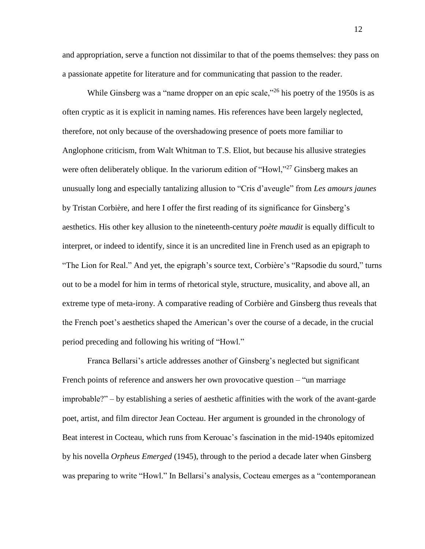and appropriation, serve a function not dissimilar to that of the poems themselves: they pass on a passionate appetite for literature and for communicating that passion to the reader.

While Ginsberg was a "name dropper on an epic scale,"<sup>26</sup> his poetry of the 1950s is as often cryptic as it is explicit in naming names. His references have been largely neglected, therefore, not only because of the overshadowing presence of poets more familiar to Anglophone criticism, from Walt Whitman to T.S. Eliot, but because his allusive strategies were often deliberately oblique. In the variorum edition of "Howl,"<sup>27</sup> Ginsberg makes an unusually long and especially tantalizing allusion to "Cris d'aveugle" from *Les amours jaunes*  by Tristan Corbière, and here I offer the first reading of its significance for Ginsberg's aesthetics. His other key allusion to the nineteenth-century *poète maudit* is equally difficult to interpret, or indeed to identify, since it is an uncredited line in French used as an epigraph to "The Lion for Real." And yet, the epigraph's source text, Corbière's "Rapsodie du sourd," turns out to be a model for him in terms of rhetorical style, structure, musicality, and above all, an extreme type of meta-irony. A comparative reading of Corbière and Ginsberg thus reveals that the French poet's aesthetics shaped the American's over the course of a decade, in the crucial period preceding and following his writing of "Howl."

Franca Bellarsi's article addresses another of Ginsberg's neglected but significant French points of reference and answers her own provocative question – "un marriage improbable?" – by establishing a series of aesthetic affinities with the work of the avant-garde poet, artist, and film director Jean Cocteau. Her argument is grounded in the chronology of Beat interest in Cocteau, which runs from Kerouac's fascination in the mid-1940s epitomized by his novella *Orpheus Emerged* (1945), through to the period a decade later when Ginsberg was preparing to write "Howl." In Bellarsi's analysis, Cocteau emerges as a "contemporanean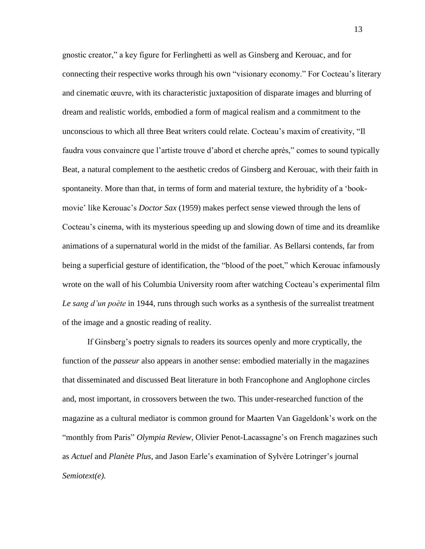gnostic creator," a key figure for Ferlinghetti as well as Ginsberg and Kerouac, and for connecting their respective works through his own "visionary economy." For Cocteau's literary and cinematic œuvre, with its characteristic juxtaposition of disparate images and blurring of dream and realistic worlds, embodied a form of magical realism and a commitment to the unconscious to which all three Beat writers could relate. Cocteau's maxim of creativity, "Il faudra vous convaincre que l'artiste trouve d'abord et cherche après," comes to sound typically Beat, a natural complement to the aesthetic credos of Ginsberg and Kerouac, with their faith in spontaneity. More than that, in terms of form and material texture, the hybridity of a 'bookmovie' like Kerouac's *Doctor Sax* (1959) makes perfect sense viewed through the lens of Cocteau's cinema, with its mysterious speeding up and slowing down of time and its dreamlike animations of a supernatural world in the midst of the familiar. As Bellarsi contends, far from being a superficial gesture of identification, the "blood of the poet," which Kerouac infamously wrote on the wall of his Columbia University room after watching Cocteau's experimental film *Le sang d'un poète* in 1944, runs through such works as a synthesis of the surrealist treatment of the image and a gnostic reading of reality.

If Ginsberg's poetry signals to readers its sources openly and more cryptically, the function of the *passeur* also appears in another sense: embodied materially in the magazines that disseminated and discussed Beat literature in both Francophone and Anglophone circles and, most important, in crossovers between the two. This under-researched function of the magazine as a cultural mediator is common ground for Maarten Van Gageldonk's work on the "monthly from Paris" *Olympia Review*, Olivier Penot-Lacassagne's on French magazines such as *Actuel* and *Planète Plus*, and Jason Earle's examination of Sylvère Lotringer's journal *Semiotext(e).*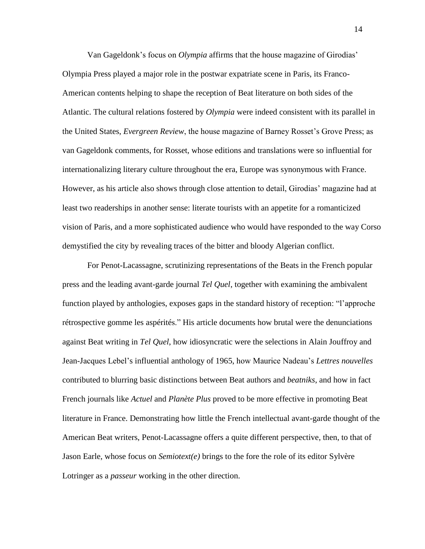Van Gageldonk's focus on *Olympia* affirms that the house magazine of Girodias' Olympia Press played a major role in the postwar expatriate scene in Paris, its Franco-American contents helping to shape the reception of Beat literature on both sides of the Atlantic. The cultural relations fostered by *Olympia* were indeed consistent with its parallel in the United States, *Evergreen Review*, the house magazine of Barney Rosset's Grove Press; as van Gageldonk comments, for Rosset, whose editions and translations were so influential for internationalizing literary culture throughout the era, Europe was synonymous with France. However, as his article also shows through close attention to detail, Girodias' magazine had at least two readerships in another sense: literate tourists with an appetite for a romanticized vision of Paris, and a more sophisticated audience who would have responded to the way Corso demystified the city by revealing traces of the bitter and bloody Algerian conflict.

For Penot-Lacassagne, scrutinizing representations of the Beats in the French popular press and the leading avant-garde journal *Tel Quel*, together with examining the ambivalent function played by anthologies, exposes gaps in the standard history of reception: "l'approche rétrospective gomme les aspérités." His article documents how brutal were the denunciations against Beat writing in *Tel Quel*, how idiosyncratic were the selections in Alain Jouffroy and Jean-Jacques Lebel's influential anthology of 1965, how Maurice Nadeau's *Lettres nouvelles*  contributed to blurring basic distinctions between Beat authors and *beatniks*, and how in fact French journals like *Actuel* and *Planète Plus* proved to be more effective in promoting Beat literature in France. Demonstrating how little the French intellectual avant-garde thought of the American Beat writers, Penot-Lacassagne offers a quite different perspective, then, to that of Jason Earle, whose focus on *Semiotext(e)* brings to the fore the role of its editor Sylvère Lotringer as a *passeur* working in the other direction.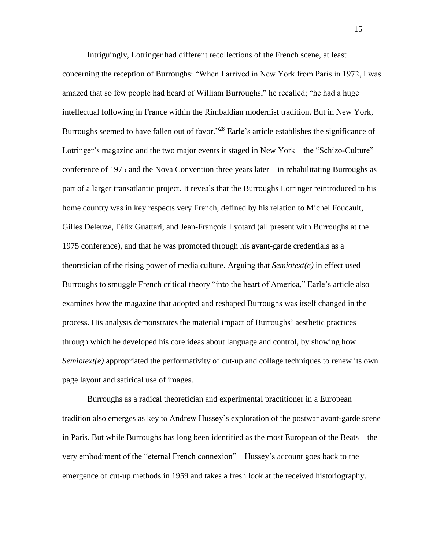Intriguingly, Lotringer had different recollections of the French scene, at least concerning the reception of Burroughs: "When I arrived in New York from Paris in 1972, I was amazed that so few people had heard of William Burroughs," he recalled; "he had a huge intellectual following in France within the Rimbaldian modernist tradition. But in New York, Burroughs seemed to have fallen out of favor."<sup>28</sup> Earle's article establishes the significance of Lotringer's magazine and the two major events it staged in New York – the "Schizo-Culture" conference of 1975 and the Nova Convention three years later – in rehabilitating Burroughs as part of a larger transatlantic project. It reveals that the Burroughs Lotringer reintroduced to his home country was in key respects very French, defined by his relation to Michel Foucault, Gilles Deleuze, Félix Guattari, and Jean-François Lyotard (all present with Burroughs at the 1975 conference), and that he was promoted through his avant-garde credentials as a theoretician of the rising power of media culture. Arguing that *Semiotext(e)* in effect used Burroughs to smuggle French critical theory "into the heart of America," Earle's article also examines how the magazine that adopted and reshaped Burroughs was itself changed in the process. His analysis demonstrates the material impact of Burroughs' aesthetic practices through which he developed his core ideas about language and control, by showing how *Semiotext(e)* appropriated the performativity of cut-up and collage techniques to renew its own page layout and satirical use of images.

Burroughs as a radical theoretician and experimental practitioner in a European tradition also emerges as key to Andrew Hussey's exploration of the postwar avant-garde scene in Paris. But while Burroughs has long been identified as the most European of the Beats – the very embodiment of the "eternal French connexion" – Hussey's account goes back to the emergence of cut-up methods in 1959 and takes a fresh look at the received historiography.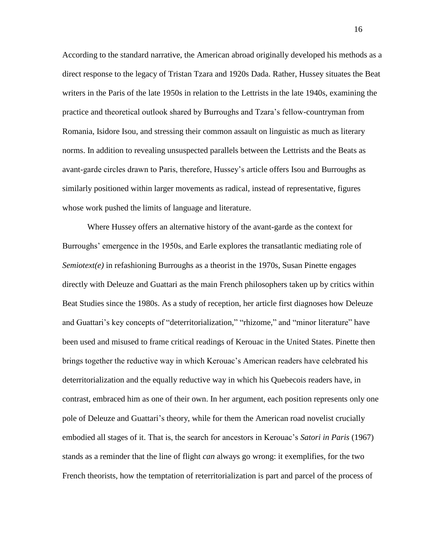According to the standard narrative, the American abroad originally developed his methods as a direct response to the legacy of Tristan Tzara and 1920s Dada. Rather, Hussey situates the Beat writers in the Paris of the late 1950s in relation to the Lettrists in the late 1940s, examining the practice and theoretical outlook shared by Burroughs and Tzara's fellow-countryman from Romania, Isidore Isou, and stressing their common assault on linguistic as much as literary norms. In addition to revealing unsuspected parallels between the Lettrists and the Beats as avant-garde circles drawn to Paris, therefore, Hussey's article offers Isou and Burroughs as similarly positioned within larger movements as radical, instead of representative, figures whose work pushed the limits of language and literature.

Where Hussey offers an alternative history of the avant-garde as the context for Burroughs' emergence in the 1950s, and Earle explores the transatlantic mediating role of *Semiotext(e)* in refashioning Burroughs as a theorist in the 1970s, Susan Pinette engages directly with Deleuze and Guattari as the main French philosophers taken up by critics within Beat Studies since the 1980s. As a study of reception, her article first diagnoses how Deleuze and Guattari's key concepts of "deterritorialization," "rhizome," and "minor literature" have been used and misused to frame critical readings of Kerouac in the United States. Pinette then brings together the reductive way in which Kerouac's American readers have celebrated his deterritorialization and the equally reductive way in which his Quebecois readers have, in contrast, embraced him as one of their own. In her argument, each position represents only one pole of Deleuze and Guattari's theory, while for them the American road novelist crucially embodied all stages of it. That is, the search for ancestors in Kerouac's *Satori in Paris* (1967) stands as a reminder that the line of flight *can* always go wrong: it exemplifies, for the two French theorists, how the temptation of reterritorialization is part and parcel of the process of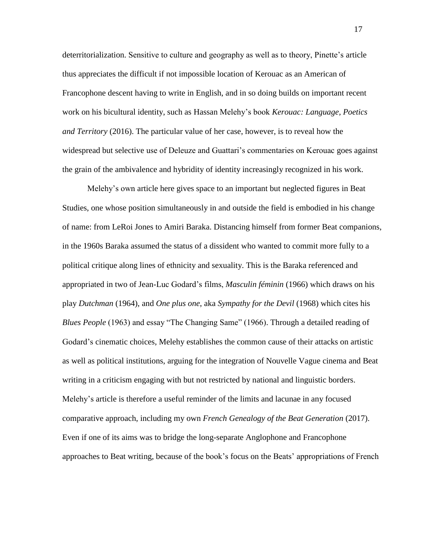deterritorialization. Sensitive to culture and geography as well as to theory, Pinette's article thus appreciates the difficult if not impossible location of Kerouac as an American of Francophone descent having to write in English, and in so doing builds on important recent work on his bicultural identity, such as Hassan Melehy's book *Kerouac: Language, Poetics and Territory* (2016). The particular value of her case, however, is to reveal how the widespread but selective use of Deleuze and Guattari's commentaries on Kerouac goes against the grain of the ambivalence and hybridity of identity increasingly recognized in his work.

Melehy's own article here gives space to an important but neglected figures in Beat Studies, one whose position simultaneously in and outside the field is embodied in his change of name: from LeRoi Jones to Amiri Baraka. Distancing himself from former Beat companions, in the 1960s Baraka assumed the status of a dissident who wanted to commit more fully to a political critique along lines of ethnicity and sexuality. This is the Baraka referenced and appropriated in two of Jean-Luc Godard's films, *Masculin féminin* (1966) which draws on his play *Dutchman* (1964), and *One plus one*, aka *Sympathy for the Devil* (1968) which cites his *Blues People* (1963) and essay "The Changing Same" (1966). Through a detailed reading of Godard's cinematic choices, Melehy establishes the common cause of their attacks on artistic as well as political institutions, arguing for the integration of Nouvelle Vague cinema and Beat writing in a criticism engaging with but not restricted by national and linguistic borders. Melehy's article is therefore a useful reminder of the limits and lacunae in any focused comparative approach, including my own *French Genealogy of the Beat Generation* (2017). Even if one of its aims was to bridge the long-separate Anglophone and Francophone approaches to Beat writing, because of the book's focus on the Beats' appropriations of French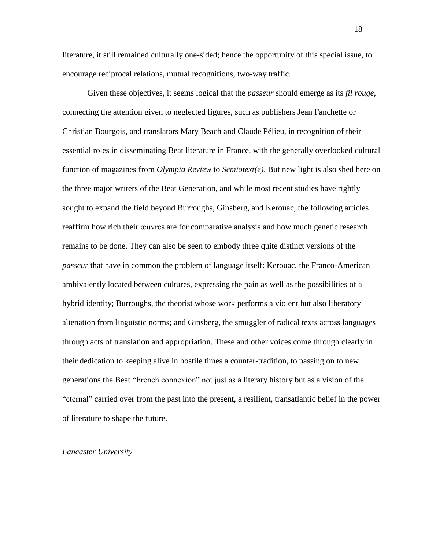literature, it still remained culturally one-sided; hence the opportunity of this special issue, to encourage reciprocal relations, mutual recognitions, two-way traffic.

Given these objectives, it seems logical that the *passeur* should emerge as its *fil rouge*, connecting the attention given to neglected figures, such as publishers Jean Fanchette or Christian Bourgois, and translators Mary Beach and Claude Pélieu, in recognition of their essential roles in disseminating Beat literature in France, with the generally overlooked cultural function of magazines from *Olympia Review* to *Semiotext(e)*. But new light is also shed here on the three major writers of the Beat Generation, and while most recent studies have rightly sought to expand the field beyond Burroughs, Ginsberg, and Kerouac, the following articles reaffirm how rich their œuvres are for comparative analysis and how much genetic research remains to be done. They can also be seen to embody three quite distinct versions of the *passeur* that have in common the problem of language itself: Kerouac, the Franco-American ambivalently located between cultures, expressing the pain as well as the possibilities of a hybrid identity; Burroughs, the theorist whose work performs a violent but also liberatory alienation from linguistic norms; and Ginsberg, the smuggler of radical texts across languages through acts of translation and appropriation. These and other voices come through clearly in their dedication to keeping alive in hostile times a counter-tradition, to passing on to new generations the Beat "French connexion" not just as a literary history but as a vision of the "eternal" carried over from the past into the present, a resilient, transatlantic belief in the power of literature to shape the future.

#### *Lancaster University*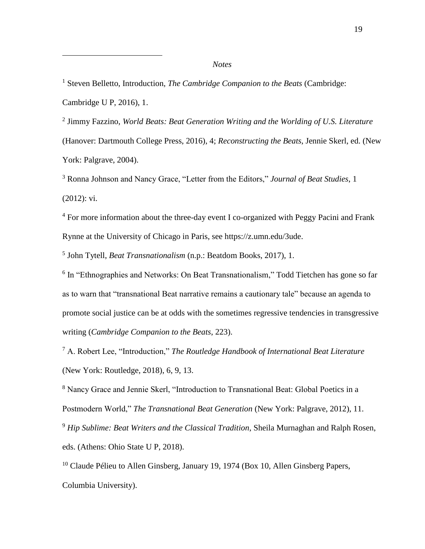#### *Notes*

<sup>1</sup> Steven Belletto, Introduction, *The Cambridge Companion to the Beats* (Cambridge: Cambridge U P, 2016), 1.

 $\overline{a}$ 

2 Jimmy Fazzino, *World Beats: Beat Generation Writing and the Worlding of U.S. Literature* (Hanover: Dartmouth College Press, 2016), 4; *Reconstructing the Beats*, Jennie Skerl, ed. (New York: Palgrave, 2004).

<sup>3</sup> Ronna Johnson and Nancy Grace, "Letter from the Editors," *Journal of Beat Studies*, 1 (2012): vi.

<sup>4</sup> For more information about the three-day event I co-organized with Peggy Pacini and Frank Rynne at the University of Chicago in Paris, see https://z.umn.edu/3ude.

5 John Tytell, *Beat Transnationalism* (n.p.: Beatdom Books, 2017), 1.

<sup>6</sup> In "Ethnographies and Networks: On Beat Transnationalism," Todd Tietchen has gone so far as to warn that "transnational Beat narrative remains a cautionary tale" because an agenda to promote social justice can be at odds with the sometimes regressive tendencies in transgressive writing (*Cambridge Companion to the Beats*, 223).

<sup>7</sup> A. Robert Lee, "Introduction," *The Routledge Handbook of International Beat Literature*  (New York: Routledge, 2018), 6, 9, 13.

<sup>8</sup> Nancy Grace and Jennie Skerl, "Introduction to Transnational Beat: Global Poetics in a Postmodern World," *The Transnational Beat Generation* (New York: Palgrave, 2012), 11. <sup>9</sup> *Hip Sublime: Beat Writers and the Classical Tradition*, Sheila Murnaghan and Ralph Rosen, eds. (Athens: Ohio State U P, 2018).

<sup>10</sup> Claude Pélieu to Allen Ginsberg, January 19, 1974 (Box 10, Allen Ginsberg Papers, Columbia University).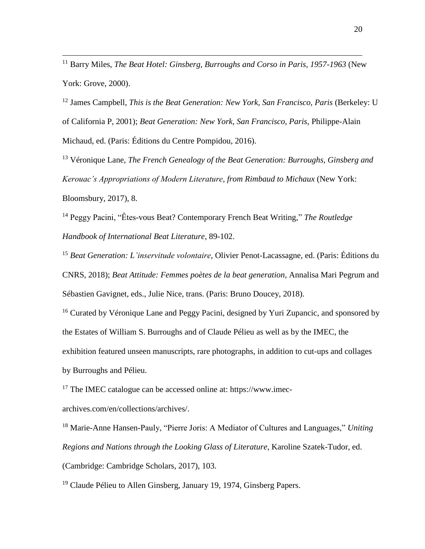<sup>11</sup> Barry Miles, *The Beat Hotel: Ginsberg, Burroughs and Corso in Paris, 1957-1963* (New York: Grove, 2000).

<sup>12</sup> James Campbell, *This is the Beat Generation: New York, San Francisco, Paris* (Berkeley: U of California P, 2001); *Beat Generation: New York, San Francisco, Paris*, Philippe-Alain Michaud, ed. (Paris: Éditions du Centre Pompidou, 2016).

<sup>13</sup> Véronique Lane, *The French Genealogy of the Beat Generation: Burroughs, Ginsberg and Kerouac's Appropriations of Modern Literature, from Rimbaud to Michaux* (New York: Bloomsbury, 2017), 8.

<sup>14</sup> Peggy Pacini, "Êtes-vous Beat? Contemporary French Beat Writing," *The Routledge Handbook of International Beat Literature*, 89-102.

<sup>15</sup> *Beat Generation: L'inservitude volontaire*, Olivier Penot-Lacassagne, ed. (Paris: Éditions du CNRS, 2018); *Beat Attitude: Femmes poètes de la beat generation*, Annalisa Mari Pegrum and Sébastien Gavignet, eds., Julie Nice, trans. (Paris: Bruno Doucey, 2018).

<sup>16</sup> Curated by Véronique Lane and Peggy Pacini, designed by Yuri Zupancic, and sponsored by the Estates of William S. Burroughs and of Claude Pélieu as well as by the IMEC, the exhibition featured unseen manuscripts, rare photographs, in addition to cut-ups and collages by Burroughs and Pélieu.

<sup>17</sup> The IMEC catalogue can be accessed online at: [https://www.imec-](https://www.imec-archives.com/en/collections/archives/)

[archives.com/en/collections/archives/.](https://www.imec-archives.com/en/collections/archives/)

-

<sup>18</sup> Marie-Anne Hansen-Pauly, "Pierre Joris: A Mediator of Cultures and Languages," *Uniting Regions and Nations through the Looking Glass of Literature*, Karoline Szatek-Tudor, ed. (Cambridge: Cambridge Scholars, 2017), 103.

<sup>19</sup> Claude Pélieu to Allen Ginsberg, January 19, 1974, Ginsberg Papers.